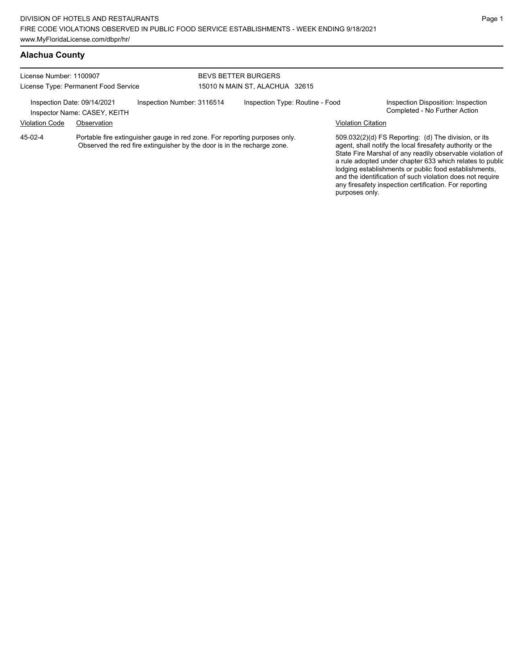### **Alachua County**

| License Number: 1100907 | License Type: Permanent Food Service                        |                                                                                                                                                       | <b>BEVS BETTER BURGERS</b><br>15010 N MAIN ST. ALACHUA 32615 |                           |                                                                                                                   |
|-------------------------|-------------------------------------------------------------|-------------------------------------------------------------------------------------------------------------------------------------------------------|--------------------------------------------------------------|---------------------------|-------------------------------------------------------------------------------------------------------------------|
|                         | Inspection Date: 09/14/2021<br>Inspector Name: CASEY, KEITH | Inspection Number: 3116514                                                                                                                            | Inspection Type: Routine - Food                              |                           | Inspection Disposition: Inspection<br>Completed - No Further Action                                               |
| <b>Violation Code</b>   | Observation                                                 |                                                                                                                                                       |                                                              | <b>Violation Citation</b> |                                                                                                                   |
| $45-02-4$               |                                                             | Portable fire extinguisher gauge in red zone. For reporting purposes only.<br>Observed the red fire extinguisher by the door is in the recharge zone. |                                                              |                           | 509.032(2)(d) FS Reporting: (d) The division, or its<br>agent, shall notify the local firesafety authority or the |

agent, shall notify the local firesafety authority or the State Fire Marshal of any readily observable violation of a rule adopted under chapter 633 which relates to public lodging establishments or public food establishments, and the identification of such violation does not require any firesafety inspection certification. For reporting purposes only.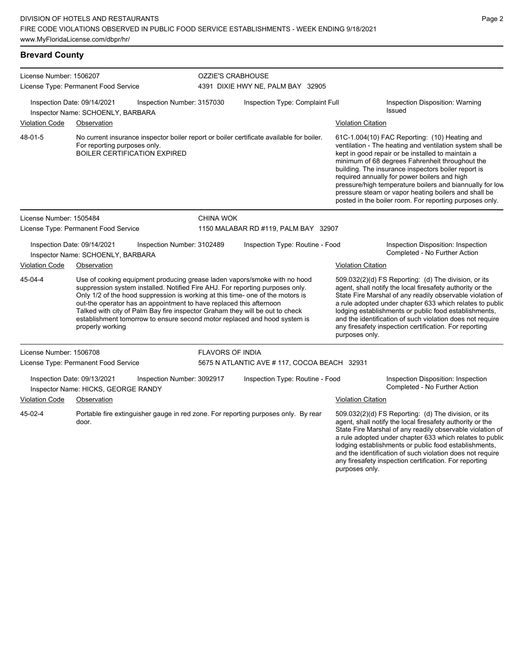## **Brevard County**

| License Number: 1506207 |                                                                    |                                                                                                                                                     | <b>OZZIE'S CRABHOUSE</b>          |                                                                                                                                                                                                                                                                                                                           |  |                           |                                                                                                                                                                                                                                                                                                                                                                                                                                                                                                          |
|-------------------------|--------------------------------------------------------------------|-----------------------------------------------------------------------------------------------------------------------------------------------------|-----------------------------------|---------------------------------------------------------------------------------------------------------------------------------------------------------------------------------------------------------------------------------------------------------------------------------------------------------------------------|--|---------------------------|----------------------------------------------------------------------------------------------------------------------------------------------------------------------------------------------------------------------------------------------------------------------------------------------------------------------------------------------------------------------------------------------------------------------------------------------------------------------------------------------------------|
|                         | License Type: Permanent Food Service                               |                                                                                                                                                     | 4391 DIXIE HWY NE, PALM BAY 32905 |                                                                                                                                                                                                                                                                                                                           |  |                           |                                                                                                                                                                                                                                                                                                                                                                                                                                                                                                          |
|                         | Inspection Date: 09/14/2021<br>Inspector Name: SCHOENLY, BARBARA   | Inspection Number: 3157030                                                                                                                          |                                   | Inspection Type: Complaint Full                                                                                                                                                                                                                                                                                           |  |                           | Inspection Disposition: Warning<br><b>Issued</b>                                                                                                                                                                                                                                                                                                                                                                                                                                                         |
| <b>Violation Code</b>   | Observation                                                        |                                                                                                                                                     |                                   |                                                                                                                                                                                                                                                                                                                           |  | <b>Violation Citation</b> |                                                                                                                                                                                                                                                                                                                                                                                                                                                                                                          |
| 48-01-5                 | For reporting purposes only.                                       | <b>BOILER CERTIFICATION EXPIRED</b>                                                                                                                 |                                   | No current insurance inspector boiler report or boiler certificate available for boiler.                                                                                                                                                                                                                                  |  |                           | 61C-1.004(10) FAC Reporting: (10) Heating and<br>ventilation - The heating and ventilation system shall be<br>kept in good repair or be installed to maintain a<br>minimum of 68 degrees Fahrenheit throughout the<br>building. The insurance inspectors boiler report is<br>required annually for power boilers and high<br>pressure/high temperature boilers and biannually for low<br>pressure steam or vapor heating boilers and shall be<br>posted in the boiler room. For reporting purposes only. |
| License Number: 1505484 |                                                                    |                                                                                                                                                     | <b>CHINA WOK</b>                  |                                                                                                                                                                                                                                                                                                                           |  |                           |                                                                                                                                                                                                                                                                                                                                                                                                                                                                                                          |
|                         | License Type: Permanent Food Service                               |                                                                                                                                                     |                                   | 1150 MALABAR RD #119, PALM BAY 32907                                                                                                                                                                                                                                                                                      |  |                           |                                                                                                                                                                                                                                                                                                                                                                                                                                                                                                          |
|                         | Inspection Date: 09/14/2021<br>Inspector Name: SCHOENLY, BARBARA   | Inspection Number: 3102489                                                                                                                          |                                   | Inspection Type: Routine - Food                                                                                                                                                                                                                                                                                           |  |                           | Inspection Disposition: Inspection<br>Completed - No Further Action                                                                                                                                                                                                                                                                                                                                                                                                                                      |
| <b>Violation Code</b>   | Observation                                                        |                                                                                                                                                     |                                   |                                                                                                                                                                                                                                                                                                                           |  | <b>Violation Citation</b> |                                                                                                                                                                                                                                                                                                                                                                                                                                                                                                          |
| 45-04-4                 | properly working                                                   | out-the operator has an appointment to have replaced this afternoon<br>Talked with city of Palm Bay fire inspector Graham they will be out to check |                                   | Use of cooking equipment producing grease laden vapors/smoke with no hood<br>suppression system installed. Notified Fire AHJ. For reporting purposes only.<br>Only 1/2 of the hood suppression is working at this time- one of the motors is<br>establishment tomorrow to ensure second motor replaced and hood system is |  | purposes only.            | 509.032(2)(d) FS Reporting: (d) The division, or its<br>agent, shall notify the local firesafety authority or the<br>State Fire Marshal of any readily observable violation of<br>a rule adopted under chapter 633 which relates to public<br>lodging establishments or public food establishments,<br>and the identification of such violation does not require<br>any firesafety inspection certification. For reporting                                                                               |
| License Number: 1506708 |                                                                    |                                                                                                                                                     | <b>FLAVORS OF INDIA</b>           |                                                                                                                                                                                                                                                                                                                           |  |                           |                                                                                                                                                                                                                                                                                                                                                                                                                                                                                                          |
|                         | License Type: Permanent Food Service                               |                                                                                                                                                     |                                   | 5675 N ATLANTIC AVE # 117, COCOA BEACH 32931                                                                                                                                                                                                                                                                              |  |                           |                                                                                                                                                                                                                                                                                                                                                                                                                                                                                                          |
|                         | Inspection Date: 09/13/2021<br>Inspector Name: HICKS, GEORGE RANDY | Inspection Number: 3092917                                                                                                                          |                                   | Inspection Type: Routine - Food                                                                                                                                                                                                                                                                                           |  |                           | Inspection Disposition: Inspection<br>Completed - No Further Action                                                                                                                                                                                                                                                                                                                                                                                                                                      |
| <b>Violation Code</b>   | Observation                                                        |                                                                                                                                                     |                                   |                                                                                                                                                                                                                                                                                                                           |  | Violation Citation        |                                                                                                                                                                                                                                                                                                                                                                                                                                                                                                          |
| 45-02-4                 | door.                                                              |                                                                                                                                                     |                                   | Portable fire extinguisher gauge in red zone. For reporting purposes only. By rear                                                                                                                                                                                                                                        |  | purposes only.            | 509.032(2)(d) FS Reporting: (d) The division, or its<br>agent, shall notify the local firesafety authority or the<br>State Fire Marshal of any readily observable violation of<br>a rule adopted under chapter 633 which relates to public<br>lodging establishments or public food establishments,<br>and the identification of such violation does not require<br>any firesafety inspection certification. For reporting                                                                               |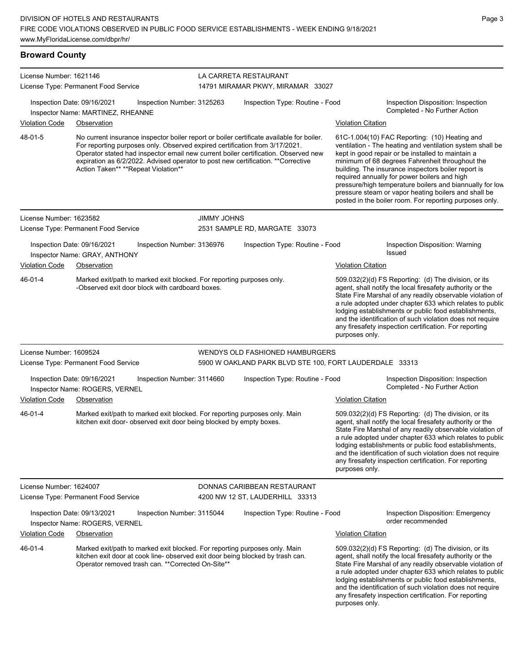| License Number: 1621146 |                                                                                                                                                                                                                                                                                                                                                                                           |                            | LA CARRETA RESTAURANT                  |                                                                                                                                                                                                                                                                                                                                                                                                                                                                                                          |
|-------------------------|-------------------------------------------------------------------------------------------------------------------------------------------------------------------------------------------------------------------------------------------------------------------------------------------------------------------------------------------------------------------------------------------|----------------------------|----------------------------------------|----------------------------------------------------------------------------------------------------------------------------------------------------------------------------------------------------------------------------------------------------------------------------------------------------------------------------------------------------------------------------------------------------------------------------------------------------------------------------------------------------------|
|                         | License Type: Permanent Food Service                                                                                                                                                                                                                                                                                                                                                      |                            | 14791 MIRAMAR PKWY, MIRAMAR 33027      |                                                                                                                                                                                                                                                                                                                                                                                                                                                                                                          |
|                         | Inspection Date: 09/16/2021<br>Inspector Name: MARTINEZ, RHEANNE                                                                                                                                                                                                                                                                                                                          | Inspection Number: 3125263 | Inspection Type: Routine - Food        | Inspection Disposition: Inspection<br>Completed - No Further Action                                                                                                                                                                                                                                                                                                                                                                                                                                      |
| <b>Violation Code</b>   | Observation                                                                                                                                                                                                                                                                                                                                                                               |                            |                                        | <b>Violation Citation</b>                                                                                                                                                                                                                                                                                                                                                                                                                                                                                |
| 48-01-5                 | No current insurance inspector boiler report or boiler certificate available for boiler.<br>For reporting purposes only. Observed expired certification from 3/17/2021.<br>Operator stated had inspector email new current boiler certification. Observed new<br>expiration as 6/2/2022. Advised operator to post new certification. ** Corrective<br>Action Taken** **Repeat Violation** |                            |                                        | 61C-1.004(10) FAC Reporting: (10) Heating and<br>ventilation - The heating and ventilation system shall be<br>kept in good repair or be installed to maintain a<br>minimum of 68 degrees Fahrenheit throughout the<br>building. The insurance inspectors boiler report is<br>required annually for power boilers and high<br>pressure/high temperature boilers and biannually for low<br>pressure steam or vapor heating boilers and shall be<br>posted in the boiler room. For reporting purposes only. |
| License Number: 1623582 |                                                                                                                                                                                                                                                                                                                                                                                           | <b>JIMMY JOHNS</b>         |                                        |                                                                                                                                                                                                                                                                                                                                                                                                                                                                                                          |
|                         | License Type: Permanent Food Service                                                                                                                                                                                                                                                                                                                                                      |                            | 2531 SAMPLE RD, MARGATE 33073          |                                                                                                                                                                                                                                                                                                                                                                                                                                                                                                          |
|                         | Inspection Date: 09/16/2021<br>Inspector Name: GRAY, ANTHONY                                                                                                                                                                                                                                                                                                                              | Inspection Number: 3136976 | Inspection Type: Routine - Food        | Inspection Disposition: Warning<br><b>Issued</b>                                                                                                                                                                                                                                                                                                                                                                                                                                                         |
| <b>Violation Code</b>   | Observation                                                                                                                                                                                                                                                                                                                                                                               |                            |                                        | <b>Violation Citation</b>                                                                                                                                                                                                                                                                                                                                                                                                                                                                                |
| 46-01-4                 | Marked exit/path to marked exit blocked. For reporting purposes only.<br>-Observed exit door block with cardboard boxes.                                                                                                                                                                                                                                                                  |                            |                                        | 509.032(2)(d) FS Reporting: (d) The division, or its<br>agent, shall notify the local firesafety authority or the<br>State Fire Marshal of any readily observable violation of<br>a rule adopted under chapter 633 which relates to public<br>lodging establishments or public food establishments,<br>and the identification of such violation does not require<br>any firesafety inspection certification. For reporting<br>purposes only.                                                             |
| License Number: 1609524 |                                                                                                                                                                                                                                                                                                                                                                                           |                            | <b>WENDYS OLD FASHIONED HAMBURGERS</b> |                                                                                                                                                                                                                                                                                                                                                                                                                                                                                                          |
|                         | License Type: Permanent Food Service                                                                                                                                                                                                                                                                                                                                                      |                            |                                        | 5900 W OAKLAND PARK BLVD STE 100, FORT LAUDERDALE 33313                                                                                                                                                                                                                                                                                                                                                                                                                                                  |
|                         | Inspection Date: 09/16/2021<br>Inspector Name: ROGERS, VERNEL                                                                                                                                                                                                                                                                                                                             | Inspection Number: 3114660 | Inspection Type: Routine - Food        | Inspection Disposition: Inspection<br>Completed - No Further Action                                                                                                                                                                                                                                                                                                                                                                                                                                      |
| <b>Violation Code</b>   | Observation                                                                                                                                                                                                                                                                                                                                                                               |                            |                                        | <b>Violation Citation</b>                                                                                                                                                                                                                                                                                                                                                                                                                                                                                |
| 46-01-4                 | Marked exit/path to marked exit blocked. For reporting purposes only. Main<br>kitchen exit door- observed exit door being blocked by empty boxes.                                                                                                                                                                                                                                         |                            |                                        | 509.032(2)(d) FS Reporting: (d) The division, or its<br>agent, shall notify the local firesafety authority or the<br>State Fire Marshal of any readily observable violation of<br>a rule adopted under chapter 633 which relates to public<br>lodging establishments or public food establishments,<br>and the identification of such violation does not require<br>any firesafety inspection certification. For reporting<br>purposes only.                                                             |
| License Number: 1624007 |                                                                                                                                                                                                                                                                                                                                                                                           |                            | DONNAS CARIBBEAN RESTAURANT            |                                                                                                                                                                                                                                                                                                                                                                                                                                                                                                          |
|                         | License Type: Permanent Food Service                                                                                                                                                                                                                                                                                                                                                      |                            | 4200 NW 12 ST, LAUDERHILL 33313        |                                                                                                                                                                                                                                                                                                                                                                                                                                                                                                          |
|                         | Inspection Date: 09/13/2021<br>Inspector Name: ROGERS, VERNEL                                                                                                                                                                                                                                                                                                                             | Inspection Number: 3115044 | Inspection Type: Routine - Food        | Inspection Disposition: Emergency<br>order recommended                                                                                                                                                                                                                                                                                                                                                                                                                                                   |
| <b>Violation Code</b>   | Observation                                                                                                                                                                                                                                                                                                                                                                               |                            |                                        | <b>Violation Citation</b>                                                                                                                                                                                                                                                                                                                                                                                                                                                                                |
| 46-01-4                 | Marked exit/path to marked exit blocked. For reporting purposes only. Main<br>kitchen exit door at cook line- observed exit door being blocked by trash can.<br>Operator removed trash can. ** Corrected On-Site**                                                                                                                                                                        |                            |                                        | 509.032(2)(d) FS Reporting: (d) The division, or its<br>agent, shall notify the local firesafety authority or the<br>State Fire Marshal of any readily observable violation of<br>a rule adopted under chapter 633 which relates to public<br>lodging establishments or public food establishments,<br>and the identification of such violation does not require<br>any firesafety inspection certification. For reporting<br>purposes only.                                                             |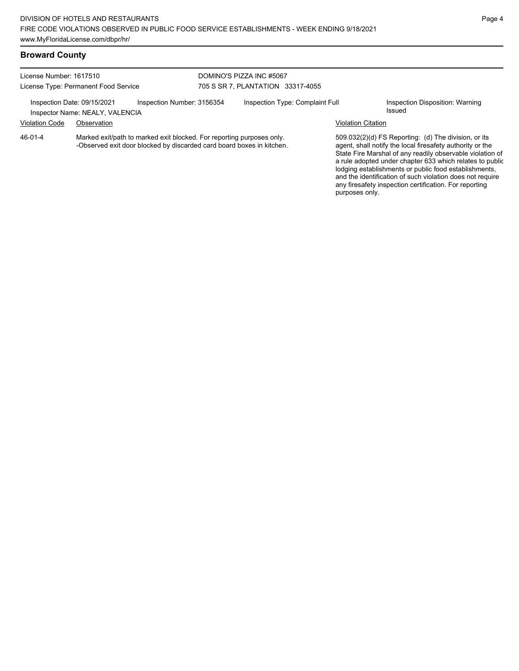### **Broward County**

License Number: 1617510 License Type: Permanent Food Service DOMINO'S PIZZA INC #5067 705 S SR 7, PLANTATION 33317-4055 Inspection Date: 09/15/2021 Inspection Number: 3156354 Inspection Type: Complaint Full Inspection Disposition: Warning<br>Inspector Name: NEALX VALENCIA Inspector Name: NEALY, VALENCIA Violation Code Observation Violation Citation Marked exit/path to marked exit blocked. For reporting purposes only. -Observed exit door blocked by discarded card board boxes in kitchen. 509.032(2)(d) FS Reporting: (d) The division, or its 46-01-4

agent, shall notify the local firesafety authority or the State Fire Marshal of any readily observable violation of a rule adopted under chapter 633 which relates to public lodging establishments or public food establishments, and the identification of such violation does not require any firesafety inspection certification. For reporting purposes only.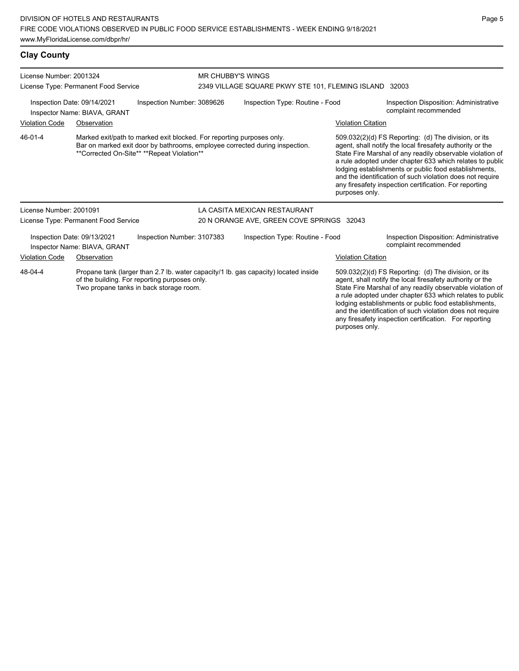**Clay County** License Number: 2001324 License Type: Permanent Food Service MR CHUBBY'S WINGS 2349 VILLAGE SQUARE PKWY STE 101, FLEMING ISLAND 32003 Inspection Date: 09/14/2021 Inspection Number: 3089626 Inspection Type: Routine - Food Inspection Disposition: Administrative complaint recommended Inspector Name: BIAVA, GRANT Violation Code Observation Violation Citation Marked exit/path to marked exit blocked. For reporting purposes only. Bar on marked exit door by bathrooms, employee corrected during inspection. \*\*Corrected On-Site\*\* \*\*Repeat Violation\*\* 509.032(2)(d) FS Reporting: (d) The division, or its agent, shall notify the local firesafety authority or the State Fire Marshal of any readily observable violation of a rule adopted under chapter 633 which relates to public lodging establishments or public food establishments, and the identification of such violation does not require any firesafety inspection certification. For reporting purposes only. 46-01-4 License Number: 2001091 License Type: Permanent Food Service LA CASITA MEXICAN RESTAURANT 20 N ORANGE AVE, GREEN COVE SPRINGS 32043

Inspection Date: 09/13/2021 Inspection Number: 3107383 Inspection Type: Routine - Food Inspection Disposition: Administrative Inspector Name: BIAVA, GRANT Violation Code Observation Violation Citation Propane tank (larger than 2.7 lb. water capacity/1 lb. gas capacity) located inside of the building. For reporting purposes only. Two propane tanks in back storage room. 509.032(2)(d) FS Reporting: (d) The division, or its agent, shall notify the local firesafety authority or the State Fire Marshal of any readily observable violation of a rule adopted under chapter 633 which relates to public lodging establishments or public food establishments, and the identification of such violation does not require any firesafety inspection certification. For reporting 48-04-4

purposes only.

Page 5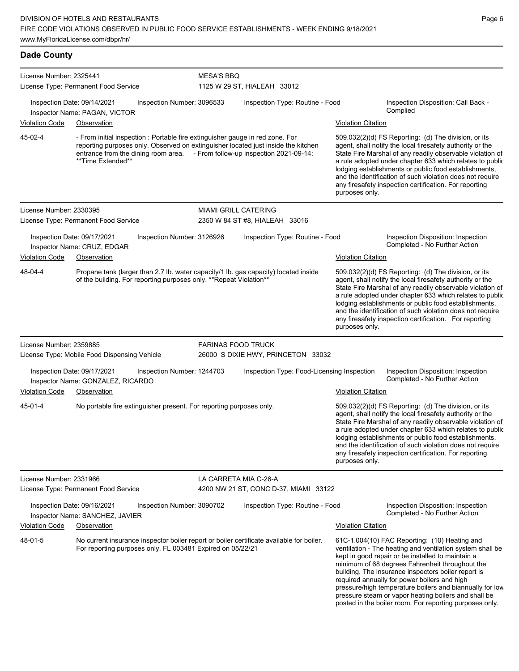**Dade County** License Number: 2325441 License Type: Permanent Food Service MESA'S BBQ 1125 W 29 ST, HIALEAH 33012 Inspection Date: 09/14/2021 Inspection Number: 3096533 Inspection Type: Routine - Food Inspection Disposition: Call Back -Complied Inspector Name: PAGAN, VICTOR Violation Code Observation Violation Citation - From initial inspection : Portable fire extinguisher gauge in red zone. For reporting purposes only. Observed on extinguisher located just inside the kitchen entrance from the dining room area. - From follow-up inspection 2021-09-14: \*\*Time Extended\*\* 509.032(2)(d) FS Reporting: (d) The division, or its agent, shall notify the local firesafety authority or the State Fire Marshal of any readily observable violation of a rule adopted under chapter 633 which relates to public lodging establishments or public food establishments, and the identification of such violation does not require any firesafety inspection certification. For reporting purposes only. 45-02-4 License Number: 2330395 License Type: Permanent Food Service MIAMI GRILL CATERING 2350 W 84 ST #8, HIALEAH 33016 Inspection Date: 09/17/2021 Inspection Number: 3126926 Inspection Type: Routine - Food Inspection Disposition: Inspection Inspector Name: CRUZ, EDGAR **Inspector Name: CRUZ, EDGAR** Violation Code Observation Violation Citation Propane tank (larger than 2.7 lb. water capacity/1 lb. gas capacity) located inside of the building. For reporting purposes only. \*\*Repeat Violation\*\* 509.032(2)(d) FS Reporting: (d) The division, or its agent, shall notify the local firesafety authority or the State Fire Marshal of any readily observable violation of a rule adopted under chapter 633 which relates to public lodging establishments or public food establishments, and the identification of such violation does not require any firesafety inspection certification. For reporting purposes only. 48-04-4 License Number: 2359885 License Type: Mobile Food Dispensing Vehicle FARINAS FOOD TRUCK 26000 S DIXIE HWY, PRINCETON 33032 Inspection Date: 09/17/2021 Inspection Number: 1244703 Inspection Type: Food-Licensing Inspection Inspection Disposition: Inspection Inspector Name: GONZALEZ, RICARDO Violation Code Observation Violation Citation No portable fire extinguisher present. For reporting purposes only. 509.032(2)(d) FS Reporting: (d) The division, or its agent, shall notify the local firesafety authority or the State Fire Marshal of any readily observable violation of a rule adopted under chapter 633 which relates to public lodging establishments or public food establishments, and the identification of such violation does not require any firesafety inspection certification. For reporting purposes only. 45-01-4 License Number: 2331966 License Type: Permanent Food Service LA CARRETA MIA C-26-A 4200 NW 21 ST, CONC D-37, MIAMI 33122 Inspection Date: 09/16/2021 Inspection Number: 3090702 Inspection Type: Routine - Food Inspection Disposition: Inspection Completed - No Further Action Inspector Name: SANCHEZ, JAVIER Violation Code Observation Violation Citation No current insurance inspector boiler report or boiler certificate available for boiler. For reporting purposes only. FL 003481 Expired on 05/22/21 61C-1.004(10) FAC Reporting: (10) Heating and ventilation - The heating and ventilation system shall be 48-01-5

kept in good repair or be installed to maintain a minimum of 68 degrees Fahrenheit throughout the building. The insurance inspectors boiler report is required annually for power boilers and high pressure/high temperature boilers and biannually for low pressure steam or vapor heating boilers and shall be posted in the boiler room. For reporting purposes only.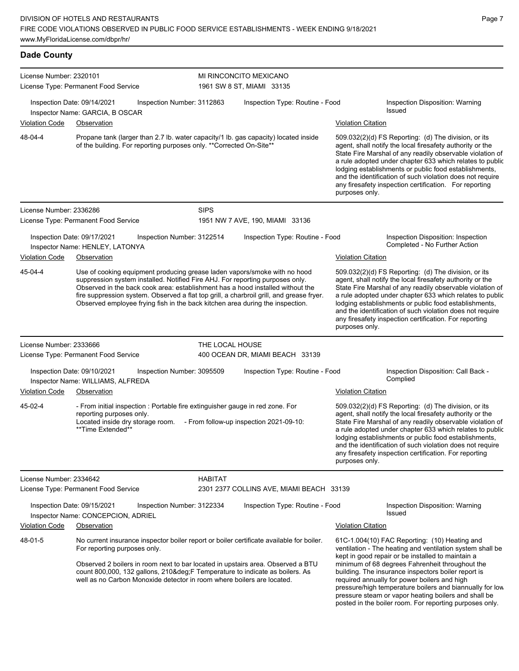### **Dade County**

| License Number: 2320101 | License Type: Permanent Food Service                                              |                                                                               |                 | MI RINCONCITO MEXICANO<br>1961 SW 8 ST, MIAMI 33135                                                                                                                                                                                                                                                                                                                                                                       |                |                                                                                                                                                                                                                                                                                                                                                                                                                                                                                                          |
|-------------------------|-----------------------------------------------------------------------------------|-------------------------------------------------------------------------------|-----------------|---------------------------------------------------------------------------------------------------------------------------------------------------------------------------------------------------------------------------------------------------------------------------------------------------------------------------------------------------------------------------------------------------------------------------|----------------|----------------------------------------------------------------------------------------------------------------------------------------------------------------------------------------------------------------------------------------------------------------------------------------------------------------------------------------------------------------------------------------------------------------------------------------------------------------------------------------------------------|
|                         | Inspection Date: 09/14/2021<br>Inspector Name: GARCIA, B OSCAR                    | Inspection Number: 3112863                                                    |                 | Inspection Type: Routine - Food                                                                                                                                                                                                                                                                                                                                                                                           |                | Inspection Disposition: Warning<br><b>Issued</b>                                                                                                                                                                                                                                                                                                                                                                                                                                                         |
| <b>Violation Code</b>   | Observation                                                                       |                                                                               |                 |                                                                                                                                                                                                                                                                                                                                                                                                                           |                | Violation Citation                                                                                                                                                                                                                                                                                                                                                                                                                                                                                       |
| 48-04-4                 |                                                                                   | of the building. For reporting purposes only. ** Corrected On-Site**          |                 | Propane tank (larger than 2.7 lb. water capacity/1 lb. gas capacity) located inside                                                                                                                                                                                                                                                                                                                                       | purposes only. | 509.032(2)(d) FS Reporting: (d) The division, or its<br>agent, shall notify the local firesafety authority or the<br>State Fire Marshal of any readily observable violation of<br>a rule adopted under chapter 633 which relates to public<br>lodging establishments or public food establishments,<br>and the identification of such violation does not require<br>any firesafety inspection certification. For reporting                                                                               |
| License Number: 2336286 |                                                                                   |                                                                               | <b>SIPS</b>     |                                                                                                                                                                                                                                                                                                                                                                                                                           |                |                                                                                                                                                                                                                                                                                                                                                                                                                                                                                                          |
|                         | License Type: Permanent Food Service                                              |                                                                               |                 | 1951 NW 7 AVE, 190, MIAMI 33136                                                                                                                                                                                                                                                                                                                                                                                           |                |                                                                                                                                                                                                                                                                                                                                                                                                                                                                                                          |
|                         | Inspection Date: 09/17/2021<br>Inspector Name: HENLEY, LATONYA                    | Inspection Number: 3122514                                                    |                 | Inspection Type: Routine - Food                                                                                                                                                                                                                                                                                                                                                                                           |                | Inspection Disposition: Inspection<br>Completed - No Further Action                                                                                                                                                                                                                                                                                                                                                                                                                                      |
| <b>Violation Code</b>   | Observation                                                                       |                                                                               |                 |                                                                                                                                                                                                                                                                                                                                                                                                                           |                | <b>Violation Citation</b>                                                                                                                                                                                                                                                                                                                                                                                                                                                                                |
| 45-04-4                 |                                                                                   |                                                                               |                 | Use of cooking equipment producing grease laden vapors/smoke with no hood<br>suppression system installed. Notified Fire AHJ. For reporting purposes only.<br>Observed in the back cook area: establishment has a hood installed without the<br>fire suppression system. Observed a flat top grill, a charbroil grill, and grease fryer.<br>Observed employee frying fish in the back kitchen area during the inspection. | purposes only. | 509.032(2)(d) FS Reporting: (d) The division, or its<br>agent, shall notify the local firesafety authority or the<br>State Fire Marshal of any readily observable violation of<br>a rule adopted under chapter 633 which relates to public<br>lodging establishments or public food establishments,<br>and the identification of such violation does not require<br>any firesafety inspection certification. For reporting                                                                               |
| License Number: 2333666 |                                                                                   |                                                                               | THE LOCAL HOUSE |                                                                                                                                                                                                                                                                                                                                                                                                                           |                |                                                                                                                                                                                                                                                                                                                                                                                                                                                                                                          |
|                         | License Type: Permanent Food Service                                              |                                                                               |                 | 400 OCEAN DR, MIAMI BEACH 33139                                                                                                                                                                                                                                                                                                                                                                                           |                |                                                                                                                                                                                                                                                                                                                                                                                                                                                                                                          |
|                         | Inspection Date: 09/10/2021<br>Inspector Name: WILLIAMS, ALFREDA                  | Inspection Number: 3095509                                                    |                 | Inspection Type: Routine - Food                                                                                                                                                                                                                                                                                                                                                                                           |                | Inspection Disposition: Call Back -<br>Complied                                                                                                                                                                                                                                                                                                                                                                                                                                                          |
| <b>Violation Code</b>   | Observation                                                                       |                                                                               |                 |                                                                                                                                                                                                                                                                                                                                                                                                                           |                | <b>Violation Citation</b>                                                                                                                                                                                                                                                                                                                                                                                                                                                                                |
| 45-02-4                 | reporting purposes only.<br>Located inside dry storage room.<br>**Time Extended** | - From initial inspection : Portable fire extinguisher gauge in red zone. For |                 | - From follow-up inspection 2021-09-10:                                                                                                                                                                                                                                                                                                                                                                                   | purposes only. | 509.032(2)(d) FS Reporting: (d) The division, or its<br>agent, shall notify the local firesafety authority or the<br>State Fire Marshal of any readily observable violation of<br>a rule adopted under chapter 633 which relates to public<br>lodging establishments or public food establishments,<br>and the identification of such violation does not require<br>any firesafety inspection certification. For reporting                                                                               |
| License Number: 2334642 |                                                                                   |                                                                               | <b>HABITAT</b>  |                                                                                                                                                                                                                                                                                                                                                                                                                           |                |                                                                                                                                                                                                                                                                                                                                                                                                                                                                                                          |
|                         | License Type: Permanent Food Service                                              |                                                                               |                 | 2301 2377 COLLINS AVE, MIAMI BEACH 33139                                                                                                                                                                                                                                                                                                                                                                                  |                |                                                                                                                                                                                                                                                                                                                                                                                                                                                                                                          |
|                         | Inspection Date: 09/15/2021<br>Inspector Name: CONCEPCION, ADRIEL                 | Inspection Number: 3122334                                                    |                 | Inspection Type: Routine - Food                                                                                                                                                                                                                                                                                                                                                                                           |                | Inspection Disposition: Warning<br>Issued                                                                                                                                                                                                                                                                                                                                                                                                                                                                |
| <b>Violation Code</b>   | Observation                                                                       |                                                                               |                 |                                                                                                                                                                                                                                                                                                                                                                                                                           |                | <b>Violation Citation</b>                                                                                                                                                                                                                                                                                                                                                                                                                                                                                |
| 48-01-5                 | For reporting purposes only.                                                      | well as no Carbon Monoxide detector in room where boilers are located.        |                 | No current insurance inspector boiler report or boiler certificate available for boiler.<br>Observed 2 boilers in room next to bar located in upstairs area. Observed a BTU<br>count 800,000, 132 gallons, 210°F Temperature to indicate as boilers. As                                                                                                                                                                   |                | 61C-1.004(10) FAC Reporting: (10) Heating and<br>ventilation - The heating and ventilation system shall be<br>kept in good repair or be installed to maintain a<br>minimum of 68 degrees Fahrenheit throughout the<br>building. The insurance inspectors boiler report is<br>required annually for power boilers and high<br>pressure/high temperature boilers and biannually for low<br>pressure steam or vapor heating boilers and shall be<br>posted in the boiler room. For reporting purposes only. |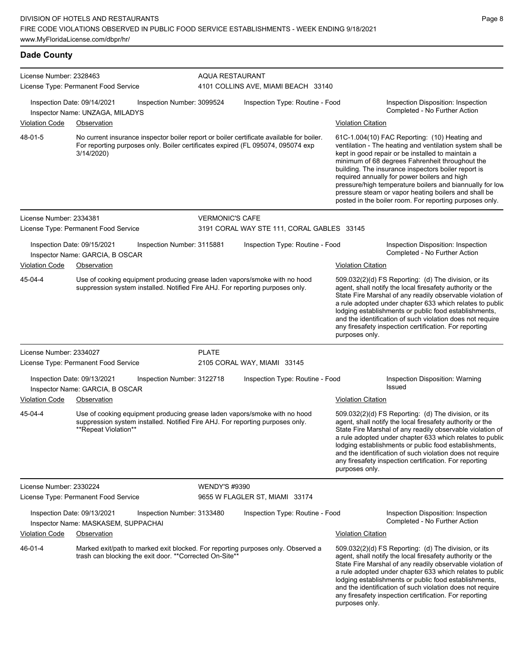**Dade County**

| License Number: 2328463 |                                                                                                                                                                                           | <b>AQUA RESTAURANT</b> |                                            |                                                                                                                                                                                                                                                                                                                                                                                                                                                                                                          |  |  |
|-------------------------|-------------------------------------------------------------------------------------------------------------------------------------------------------------------------------------------|------------------------|--------------------------------------------|----------------------------------------------------------------------------------------------------------------------------------------------------------------------------------------------------------------------------------------------------------------------------------------------------------------------------------------------------------------------------------------------------------------------------------------------------------------------------------------------------------|--|--|
|                         | License Type: Permanent Food Service                                                                                                                                                      |                        | 4101 COLLINS AVE, MIAMI BEACH 33140        |                                                                                                                                                                                                                                                                                                                                                                                                                                                                                                          |  |  |
|                         | Inspection Date: 09/14/2021<br>Inspection Number: 3099524<br>Inspector Name: UNZAGA, MILADYS                                                                                              |                        | Inspection Type: Routine - Food            | Inspection Disposition: Inspection<br>Completed - No Further Action                                                                                                                                                                                                                                                                                                                                                                                                                                      |  |  |
| <b>Violation Code</b>   | Observation                                                                                                                                                                               |                        |                                            | <b>Violation Citation</b>                                                                                                                                                                                                                                                                                                                                                                                                                                                                                |  |  |
| 48-01-5                 | No current insurance inspector boiler report or boiler certificate available for boiler.<br>For reporting purposes only. Boiler certificates expired (FL 095074, 095074 exp<br>3/14/2020) |                        |                                            | 61C-1.004(10) FAC Reporting: (10) Heating and<br>ventilation - The heating and ventilation system shall be<br>kept in good repair or be installed to maintain a<br>minimum of 68 degrees Fahrenheit throughout the<br>building. The insurance inspectors boiler report is<br>required annually for power boilers and high<br>pressure/high temperature boilers and biannually for low<br>pressure steam or vapor heating boilers and shall be<br>posted in the boiler room. For reporting purposes only. |  |  |
| License Number: 2334381 |                                                                                                                                                                                           | <b>VERMONIC'S CAFE</b> |                                            |                                                                                                                                                                                                                                                                                                                                                                                                                                                                                                          |  |  |
|                         | License Type: Permanent Food Service                                                                                                                                                      |                        | 3191 CORAL WAY STE 111, CORAL GABLES 33145 |                                                                                                                                                                                                                                                                                                                                                                                                                                                                                                          |  |  |
|                         | Inspection Date: 09/15/2021<br>Inspection Number: 3115881<br>Inspector Name: GARCIA, B OSCAR                                                                                              |                        | Inspection Type: Routine - Food            | Inspection Disposition: Inspection<br>Completed - No Further Action                                                                                                                                                                                                                                                                                                                                                                                                                                      |  |  |
| <b>Violation Code</b>   | Observation                                                                                                                                                                               |                        |                                            | <b>Violation Citation</b>                                                                                                                                                                                                                                                                                                                                                                                                                                                                                |  |  |
| 45-04-4                 | Use of cooking equipment producing grease laden vapors/smoke with no hood<br>suppression system installed. Notified Fire AHJ. For reporting purposes only.                                |                        |                                            | 509.032(2)(d) FS Reporting: (d) The division, or its<br>agent, shall notify the local firesafety authority or the<br>State Fire Marshal of any readily observable violation of<br>a rule adopted under chapter 633 which relates to public<br>lodging establishments or public food establishments,<br>and the identification of such violation does not require<br>any firesafety inspection certification. For reporting<br>purposes only.                                                             |  |  |
| License Number: 2334027 |                                                                                                                                                                                           | <b>PLATE</b>           |                                            |                                                                                                                                                                                                                                                                                                                                                                                                                                                                                                          |  |  |
|                         | License Type: Permanent Food Service                                                                                                                                                      |                        | 2105 CORAL WAY, MIAMI 33145                |                                                                                                                                                                                                                                                                                                                                                                                                                                                                                                          |  |  |
|                         | Inspection Date: 09/13/2021<br>Inspection Number: 3122718<br>Inspector Name: GARCIA, B OSCAR                                                                                              |                        | Inspection Type: Routine - Food            | Inspection Disposition: Warning<br><b>Issued</b>                                                                                                                                                                                                                                                                                                                                                                                                                                                         |  |  |
| <b>Violation Code</b>   | Observation                                                                                                                                                                               |                        |                                            | <b>Violation Citation</b>                                                                                                                                                                                                                                                                                                                                                                                                                                                                                |  |  |
| 45-04-4                 | Use of cooking equipment producing grease laden vapors/smoke with no hood<br>suppression system installed. Notified Fire AHJ. For reporting purposes only.<br>**Repeat Violation**        |                        |                                            | 509.032(2)(d) FS Reporting: (d) The division, or its<br>agent, shall notify the local firesafety authority or the<br>State Fire Marshal of any readily observable violation of<br>a rule adopted under chapter 633 which relates to public<br>lodging establishments or public food establishments,<br>and the identification of such violation does not require<br>any firesafety inspection certification. For reporting<br>purposes only.                                                             |  |  |
| License Number: 2330224 | License Type: Permanent Food Service                                                                                                                                                      | <b>WENDY'S #9390</b>   | 9655 W FLAGLER ST, MIAMI 33174             |                                                                                                                                                                                                                                                                                                                                                                                                                                                                                                          |  |  |
|                         | Inspection Date: 09/13/2021<br>Inspection Number: 3133480<br>Inspector Name: MASKASEM, SUPPACHAI                                                                                          |                        | Inspection Type: Routine - Food            | Inspection Disposition: Inspection<br>Completed - No Further Action                                                                                                                                                                                                                                                                                                                                                                                                                                      |  |  |
| <b>Violation Code</b>   | Observation                                                                                                                                                                               |                        |                                            | <b>Violation Citation</b>                                                                                                                                                                                                                                                                                                                                                                                                                                                                                |  |  |
| 46-01-4                 | Marked exit/path to marked exit blocked. For reporting purposes only. Observed a<br>trash can blocking the exit door. ** Corrected On-Site**                                              |                        |                                            | 509.032(2)(d) FS Reporting: (d) The division, or its<br>agent, shall notify the local firesafety authority or the<br>State Fire Marshal of any readily observable violation of<br>a rule adopted under chapter 633 which relates to public<br>lodging establishments or public food establishments,<br>and the identification of such violation does not require<br>any firesafety inspection certification. For reporting<br>purposes only.                                                             |  |  |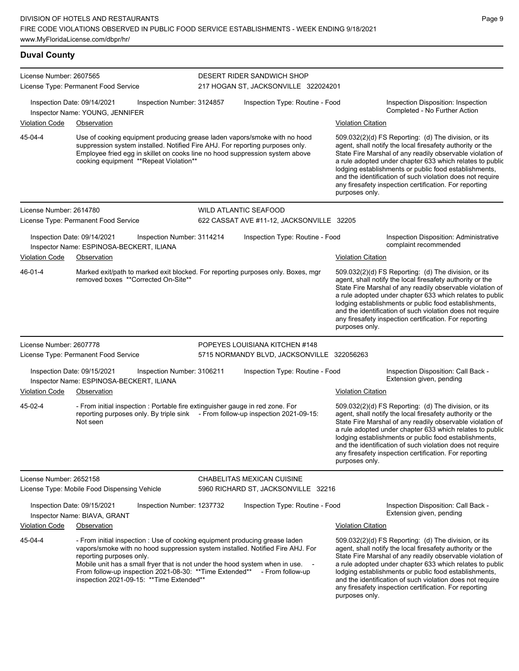**Duval County**

| License Number: 2607565 |                                                                                                                                                                                                                                                                                                                                                                                      | DESERT RIDER SANDWICH SHOP                 |                           |                                                                                                                                                                                                                                                                                                                                                                                                                              |
|-------------------------|--------------------------------------------------------------------------------------------------------------------------------------------------------------------------------------------------------------------------------------------------------------------------------------------------------------------------------------------------------------------------------------|--------------------------------------------|---------------------------|------------------------------------------------------------------------------------------------------------------------------------------------------------------------------------------------------------------------------------------------------------------------------------------------------------------------------------------------------------------------------------------------------------------------------|
|                         | License Type: Permanent Food Service                                                                                                                                                                                                                                                                                                                                                 | 217 HOGAN ST, JACKSONVILLE 322024201       |                           |                                                                                                                                                                                                                                                                                                                                                                                                                              |
|                         | Inspection Date: 09/14/2021<br>Inspection Number: 3124857<br>Inspector Name: YOUNG, JENNIFER                                                                                                                                                                                                                                                                                         | Inspection Type: Routine - Food            |                           | Inspection Disposition: Inspection<br>Completed - No Further Action                                                                                                                                                                                                                                                                                                                                                          |
| <b>Violation Code</b>   | Observation                                                                                                                                                                                                                                                                                                                                                                          |                                            | <b>Violation Citation</b> |                                                                                                                                                                                                                                                                                                                                                                                                                              |
| 45-04-4                 | Use of cooking equipment producing grease laden vapors/smoke with no hood<br>suppression system installed. Notified Fire AHJ. For reporting purposes only.<br>Employee fried egg in skillet on cooks line no hood suppression system above<br>cooking equipment **Repeat Violation**                                                                                                 |                                            | purposes only.            | 509.032(2)(d) FS Reporting: (d) The division, or its<br>agent, shall notify the local firesafety authority or the<br>State Fire Marshal of any readily observable violation of<br>a rule adopted under chapter 633 which relates to public<br>lodging establishments or public food establishments,<br>and the identification of such violation does not require<br>any firesafety inspection certification. For reporting   |
| License Number: 2614780 |                                                                                                                                                                                                                                                                                                                                                                                      | <b>WILD ATLANTIC SEAFOOD</b>               |                           |                                                                                                                                                                                                                                                                                                                                                                                                                              |
|                         | License Type: Permanent Food Service                                                                                                                                                                                                                                                                                                                                                 | 622 CASSAT AVE #11-12, JACKSONVILLE 32205  |                           |                                                                                                                                                                                                                                                                                                                                                                                                                              |
|                         | Inspection Date: 09/14/2021<br>Inspection Number: 3114214<br>Inspector Name: ESPINOSA-BECKERT, ILIANA                                                                                                                                                                                                                                                                                | Inspection Type: Routine - Food            |                           | Inspection Disposition: Administrative<br>complaint recommended                                                                                                                                                                                                                                                                                                                                                              |
| <b>Violation Code</b>   | Observation                                                                                                                                                                                                                                                                                                                                                                          |                                            | Violation Citation        |                                                                                                                                                                                                                                                                                                                                                                                                                              |
| $46 - 01 - 4$           | Marked exit/path to marked exit blocked. For reporting purposes only. Boxes, mgr<br>removed boxes **Corrected On-Site**                                                                                                                                                                                                                                                              |                                            | purposes only.            | 509.032(2)(d) FS Reporting: (d) The division, or its<br>agent, shall notify the local firesafety authority or the<br>State Fire Marshal of any readily observable violation of<br>a rule adopted under chapter 633 which relates to public<br>lodging establishments or public food establishments,<br>and the identification of such violation does not require<br>any firesafety inspection certification. For reporting   |
| License Number: 2607778 |                                                                                                                                                                                                                                                                                                                                                                                      | POPEYES LOUISIANA KITCHEN #148             |                           |                                                                                                                                                                                                                                                                                                                                                                                                                              |
|                         | License Type: Permanent Food Service                                                                                                                                                                                                                                                                                                                                                 | 5715 NORMANDY BLVD, JACKSONVILLE 322056263 |                           |                                                                                                                                                                                                                                                                                                                                                                                                                              |
| <b>Violation Code</b>   | Inspection Date: 09/15/2021<br>Inspection Number: 3106211<br>Inspector Name: ESPINOSA-BECKERT, ILIANA<br>Observation                                                                                                                                                                                                                                                                 | Inspection Type: Routine - Food            | <b>Violation Citation</b> | Inspection Disposition: Call Back -<br>Extension given, pending                                                                                                                                                                                                                                                                                                                                                              |
| 45-02-4                 | - From initial inspection : Portable fire extinguisher gauge in red zone. For<br>reporting purposes only. By triple sink - From follow-up inspection 2021-09-15:<br>Not seen                                                                                                                                                                                                         |                                            | purposes only.            | 509.032(2)(d) FS Reporting: (d) The division, or its<br>agent, shall notify the local firesafety authority or the<br>State Fire Marshal of any readily observable violation of<br>a rule adopted under chapter 633 which relates to public<br>lodging establishments or public food establishments,<br>and the identification of such violation does not require<br>any firesafety inspection certification. For reporting   |
| License Number: 2652158 |                                                                                                                                                                                                                                                                                                                                                                                      | CHABELITAS MEXICAN CUISINE                 |                           |                                                                                                                                                                                                                                                                                                                                                                                                                              |
|                         | License Type: Mobile Food Dispensing Vehicle                                                                                                                                                                                                                                                                                                                                         | 5960 RICHARD ST, JACKSONVILLE 32216        |                           |                                                                                                                                                                                                                                                                                                                                                                                                                              |
|                         | Inspection Date: 09/15/2021<br>Inspection Number: 1237732<br>Inspector Name: BIAVA, GRANT                                                                                                                                                                                                                                                                                            | Inspection Type: Routine - Food            |                           | Inspection Disposition: Call Back -<br>Extension given, pending                                                                                                                                                                                                                                                                                                                                                              |
| <b>Violation Code</b>   | Observation                                                                                                                                                                                                                                                                                                                                                                          |                                            | <b>Violation Citation</b> |                                                                                                                                                                                                                                                                                                                                                                                                                              |
| 45-04-4                 | - From initial inspection : Use of cooking equipment producing grease laden<br>vapors/smoke with no hood suppression system installed. Notified Fire AHJ. For<br>reporting purposes only.<br>Mobile unit has a small fryer that is not under the hood system when in use. -<br>From follow-up inspection 2021-08-30: ** Time Extended**<br>inspection 2021-09-15: ** Time Extended** | - From follow-up                           |                           | $509.032(2)(d)$ FS Reporting: (d) The division, or its<br>agent, shall notify the local firesafety authority or the<br>State Fire Marshal of any readily observable violation of<br>a rule adopted under chapter 633 which relates to public<br>lodging establishments or public food establishments,<br>and the identification of such violation does not require<br>any firesafety inspection certification. For reporting |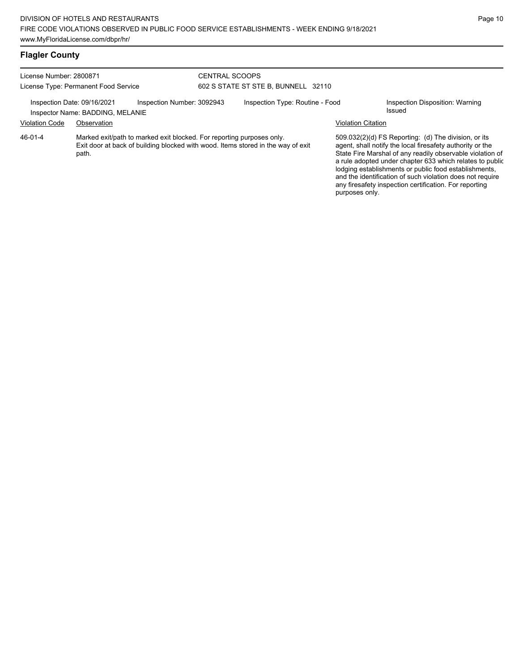### **Flagler County**

| License Number: 2800871<br>License Type: Permanent Food Service |                                                                 | <b>CENTRAL SCOOPS</b><br>602 S STATE ST STE B, BUNNELL 32110          |  |                                                                                  |                           |                                                                                                                                                                                                                                            |
|-----------------------------------------------------------------|-----------------------------------------------------------------|-----------------------------------------------------------------------|--|----------------------------------------------------------------------------------|---------------------------|--------------------------------------------------------------------------------------------------------------------------------------------------------------------------------------------------------------------------------------------|
|                                                                 | Inspection Date: 09/16/2021<br>Inspector Name: BADDING, MELANIE | Inspection Number: 3092943                                            |  | Inspection Type: Routine - Food                                                  |                           | Inspection Disposition: Warning<br>Issued                                                                                                                                                                                                  |
| <b>Violation Code</b>                                           | Observation                                                     |                                                                       |  |                                                                                  | <b>Violation Citation</b> |                                                                                                                                                                                                                                            |
| 46-01-4                                                         | path.                                                           | Marked exit/path to marked exit blocked. For reporting purposes only. |  | Exit door at back of building blocked with wood. Items stored in the way of exit |                           | 509.032(2)(d) FS Reporting: (d) The division, or its<br>agent, shall notify the local firesafety authority or the<br>State Fire Marshal of any readily observable violation of<br>a rule adopted under chapter 633 which relates to public |

lodging establishments or public food establishments, and the identification of such violation does not require any firesafety inspection certification. For reporting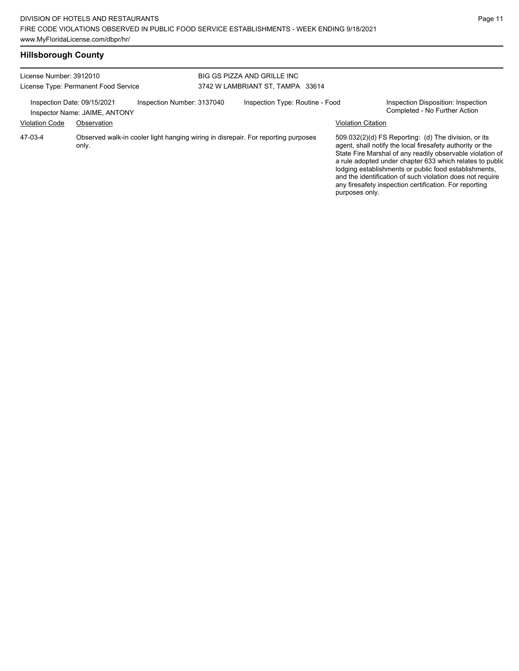| License Number: 3912010<br>License Type: Permanent Food Service |                                                              | BIG GS PIZZA AND GRILLE INC<br>3742 W LAMBRIANT ST. TAMPA 33614 |  |                                                                                   |                                                                                                                                                                                                                                                                                                                                                                                                                            |
|-----------------------------------------------------------------|--------------------------------------------------------------|-----------------------------------------------------------------|--|-----------------------------------------------------------------------------------|----------------------------------------------------------------------------------------------------------------------------------------------------------------------------------------------------------------------------------------------------------------------------------------------------------------------------------------------------------------------------------------------------------------------------|
|                                                                 | Inspection Date: 09/15/2021<br>Inspector Name: JAIME, ANTONY | Inspection Number: 3137040                                      |  | Inspection Type: Routine - Food                                                   | Inspection Disposition: Inspection<br>Completed - No Further Action                                                                                                                                                                                                                                                                                                                                                        |
| <b>Violation Code</b>                                           | Observation                                                  |                                                                 |  |                                                                                   | <b>Violation Citation</b>                                                                                                                                                                                                                                                                                                                                                                                                  |
| 47-03-4                                                         | only.                                                        |                                                                 |  | Observed walk-in cooler light hanging wiring in disrepair. For reporting purposes | 509.032(2)(d) FS Reporting: (d) The division, or its<br>agent, shall notify the local firesafety authority or the<br>State Fire Marshal of any readily observable violation of<br>a rule adopted under chapter 633 which relates to public<br>lodging establishments or public food establishments,<br>and the identification of such violation does not require<br>any firesafety inspection certification. For reporting |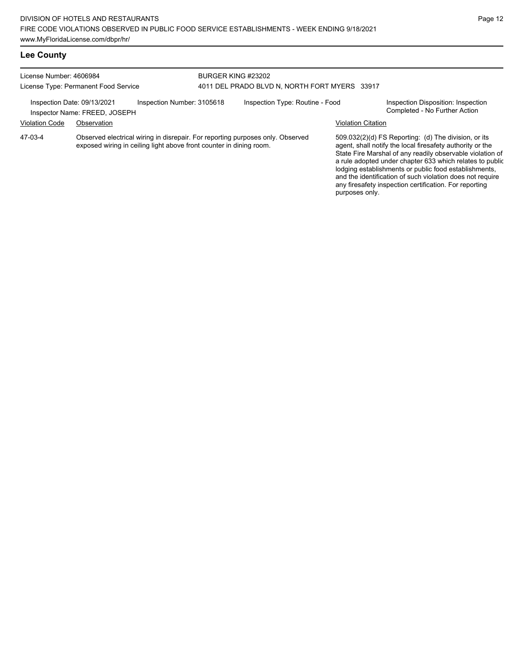### **Lee County**

| License Number: 4606984<br>License Type: Permanent Food Service |                                                              | BURGER KING #23202<br>4011 DEL PRADO BLVD N, NORTH FORT MYERS 33917 |  |                                                                                |                           |                                                                                                                                                                                                                                                                                                                                                                  |
|-----------------------------------------------------------------|--------------------------------------------------------------|---------------------------------------------------------------------|--|--------------------------------------------------------------------------------|---------------------------|------------------------------------------------------------------------------------------------------------------------------------------------------------------------------------------------------------------------------------------------------------------------------------------------------------------------------------------------------------------|
|                                                                 | Inspection Date: 09/13/2021<br>Inspector Name: FREED, JOSEPH | Inspection Number: 3105618                                          |  | Inspection Type: Routine - Food                                                |                           | Inspection Disposition: Inspection<br>Completed - No Further Action                                                                                                                                                                                                                                                                                              |
| <b>Violation Code</b>                                           | Observation                                                  |                                                                     |  |                                                                                | <b>Violation Citation</b> |                                                                                                                                                                                                                                                                                                                                                                  |
| 47-03-4                                                         |                                                              | exposed wiring in ceiling light above front counter in dining room. |  | Observed electrical wiring in disrepair. For reporting purposes only. Observed |                           | 509.032(2)(d) FS Reporting: (d) The division, or its<br>agent, shall notify the local firesafety authority or the<br>State Fire Marshal of any readily observable violation of<br>a rule adopted under chapter 633 which relates to public<br>lodging establishments or public food establishments,<br>and the identification of such violation does not require |

any firesafety inspection certification. For reporting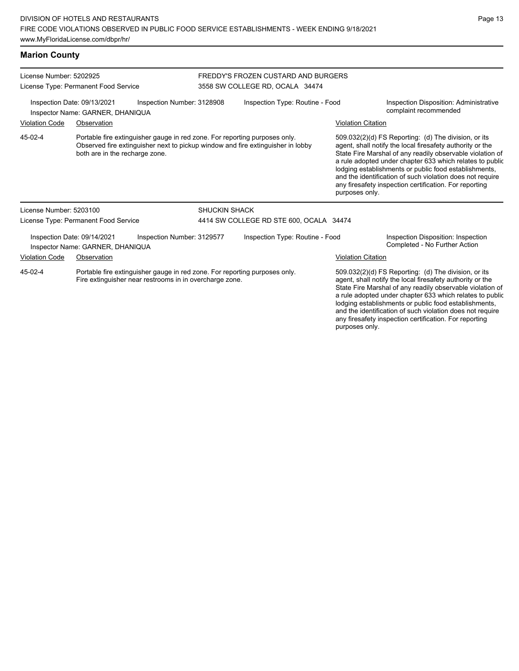# **Marion County**

| License Number: 5202925<br>License Type: Permanent Food Service                                                                                  |                                                                 |                                                                            | FREDDY'S FROZEN CUSTARD AND BURGERS<br>3558 SW COLLEGE RD, OCALA 34474 |                                                                                 |                                                                                                                                                                                                                                                                                                                                                                                                                            |                                                                                                                                                                                                                                                                                                                                                                                                                            |
|--------------------------------------------------------------------------------------------------------------------------------------------------|-----------------------------------------------------------------|----------------------------------------------------------------------------|------------------------------------------------------------------------|---------------------------------------------------------------------------------|----------------------------------------------------------------------------------------------------------------------------------------------------------------------------------------------------------------------------------------------------------------------------------------------------------------------------------------------------------------------------------------------------------------------------|----------------------------------------------------------------------------------------------------------------------------------------------------------------------------------------------------------------------------------------------------------------------------------------------------------------------------------------------------------------------------------------------------------------------------|
| Inspection Date: 09/13/2021<br>Inspection Number: 3128908<br>Inspector Name: GARNER, DHANIQUA                                                    |                                                                 |                                                                            |                                                                        | Inspection Type: Routine - Food                                                 |                                                                                                                                                                                                                                                                                                                                                                                                                            | Inspection Disposition: Administrative<br>complaint recommended                                                                                                                                                                                                                                                                                                                                                            |
| <b>Violation Code</b>                                                                                                                            | Observation                                                     |                                                                            |                                                                        |                                                                                 | <b>Violation Citation</b>                                                                                                                                                                                                                                                                                                                                                                                                  |                                                                                                                                                                                                                                                                                                                                                                                                                            |
| 45-02-4                                                                                                                                          | both are in the recharge zone.                                  | Portable fire extinguisher gauge in red zone. For reporting purposes only. |                                                                        | Observed fire extinguisher next to pickup window and fire extinguisher in lobby | purposes only.                                                                                                                                                                                                                                                                                                                                                                                                             | 509.032(2)(d) FS Reporting: (d) The division, or its<br>agent, shall notify the local firesafety authority or the<br>State Fire Marshal of any readily observable violation of<br>a rule adopted under chapter 633 which relates to public<br>lodging establishments or public food establishments,<br>and the identification of such violation does not require<br>any firesafety inspection certification. For reporting |
| License Number: 5203100                                                                                                                          |                                                                 |                                                                            | <b>SHUCKIN SHACK</b>                                                   |                                                                                 |                                                                                                                                                                                                                                                                                                                                                                                                                            |                                                                                                                                                                                                                                                                                                                                                                                                                            |
|                                                                                                                                                  | License Type: Permanent Food Service                            |                                                                            |                                                                        | 4414 SW COLLEGE RD STE 600, OCALA 34474                                         |                                                                                                                                                                                                                                                                                                                                                                                                                            |                                                                                                                                                                                                                                                                                                                                                                                                                            |
|                                                                                                                                                  | Inspection Date: 09/14/2021<br>Inspector Name: GARNER, DHANIQUA | Inspection Number: 3129577                                                 |                                                                        | Inspection Type: Routine - Food                                                 |                                                                                                                                                                                                                                                                                                                                                                                                                            | Inspection Disposition: Inspection<br>Completed - No Further Action                                                                                                                                                                                                                                                                                                                                                        |
| <b>Violation Code</b>                                                                                                                            | Observation                                                     |                                                                            |                                                                        |                                                                                 | <b>Violation Citation</b>                                                                                                                                                                                                                                                                                                                                                                                                  |                                                                                                                                                                                                                                                                                                                                                                                                                            |
| 45-02-4<br>Portable fire extinguisher gauge in red zone. For reporting purposes only.<br>Fire extinguisher near restrooms in in overcharge zone. |                                                                 |                                                                            |                                                                        | purposes only.                                                                  | 509.032(2)(d) FS Reporting: (d) The division, or its<br>agent, shall notify the local firesafety authority or the<br>State Fire Marshal of any readily observable violation of<br>a rule adopted under chapter 633 which relates to public<br>lodging establishments or public food establishments,<br>and the identification of such violation does not require<br>any firesafety inspection certification. For reporting |                                                                                                                                                                                                                                                                                                                                                                                                                            |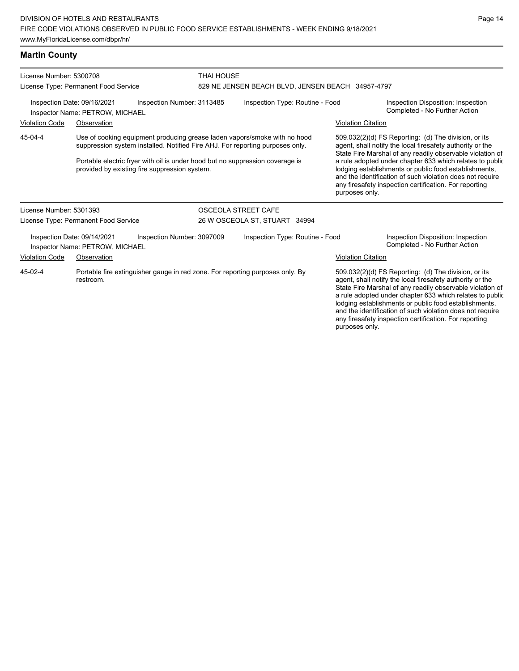| <b>Martin County</b>                                            |                                                                                                                                                                                                                                                                                              |                            |                                                   |                           |                                                                                                                                                                                                                                                                                                                                                                                                                            |  |
|-----------------------------------------------------------------|----------------------------------------------------------------------------------------------------------------------------------------------------------------------------------------------------------------------------------------------------------------------------------------------|----------------------------|---------------------------------------------------|---------------------------|----------------------------------------------------------------------------------------------------------------------------------------------------------------------------------------------------------------------------------------------------------------------------------------------------------------------------------------------------------------------------------------------------------------------------|--|
| License Number: 5300708<br>License Type: Permanent Food Service |                                                                                                                                                                                                                                                                                              | <b>THAI HOUSE</b>          | 829 NE JENSEN BEACH BLVD, JENSEN BEACH 34957-4797 |                           |                                                                                                                                                                                                                                                                                                                                                                                                                            |  |
|                                                                 | Inspection Date: 09/16/2021<br>Inspector Name: PETROW, MICHAEL                                                                                                                                                                                                                               | Inspection Number: 3113485 | Inspection Type: Routine - Food                   |                           | Inspection Disposition: Inspection<br>Completed - No Further Action                                                                                                                                                                                                                                                                                                                                                        |  |
| <b>Violation Code</b>                                           | Observation                                                                                                                                                                                                                                                                                  |                            |                                                   | <b>Violation Citation</b> |                                                                                                                                                                                                                                                                                                                                                                                                                            |  |
| 45-04-4                                                         | Use of cooking equipment producing grease laden vapors/smoke with no hood<br>suppression system installed. Notified Fire AHJ. For reporting purposes only.<br>Portable electric fryer with oil is under hood but no suppression coverage is<br>provided by existing fire suppression system. |                            |                                                   | purposes only.            | 509.032(2)(d) FS Reporting: (d) The division, or its<br>agent, shall notify the local firesafety authority or the<br>State Fire Marshal of any readily observable violation of<br>a rule adopted under chapter 633 which relates to public<br>lodging establishments or public food establishments,<br>and the identification of such violation does not require<br>any firesafety inspection certification. For reporting |  |
| License Number: 5301393                                         |                                                                                                                                                                                                                                                                                              |                            | OSCEOLA STREET CAFE                               |                           |                                                                                                                                                                                                                                                                                                                                                                                                                            |  |
|                                                                 | License Type: Permanent Food Service                                                                                                                                                                                                                                                         |                            | 26 W OSCEOLA ST, STUART 34994                     |                           |                                                                                                                                                                                                                                                                                                                                                                                                                            |  |
|                                                                 | Inspection Date: 09/14/2021<br>Inspector Name: PETROW, MICHAEL                                                                                                                                                                                                                               | Inspection Number: 3097009 | Inspection Type: Routine - Food                   |                           | Inspection Disposition: Inspection<br>Completed - No Further Action                                                                                                                                                                                                                                                                                                                                                        |  |
| <b>Violation Code</b>                                           | Observation                                                                                                                                                                                                                                                                                  |                            |                                                   | <b>Violation Citation</b> |                                                                                                                                                                                                                                                                                                                                                                                                                            |  |
| 45-02-4                                                         | Portable fire extinguisher gauge in red zone. For reporting purposes only. By<br>restroom.                                                                                                                                                                                                   |                            |                                                   |                           | 509.032(2)(d) FS Reporting: (d) The division, or its<br>agent, shall notify the local firesafety authority or the<br>State Fire Marshal of any readily observable violation of<br>a rule adopted under chapter 633 which relates to public<br>lodging establishments or public food establishments,                                                                                                                        |  |

and the identification of such violation does not require any firesafety inspection certification. For reporting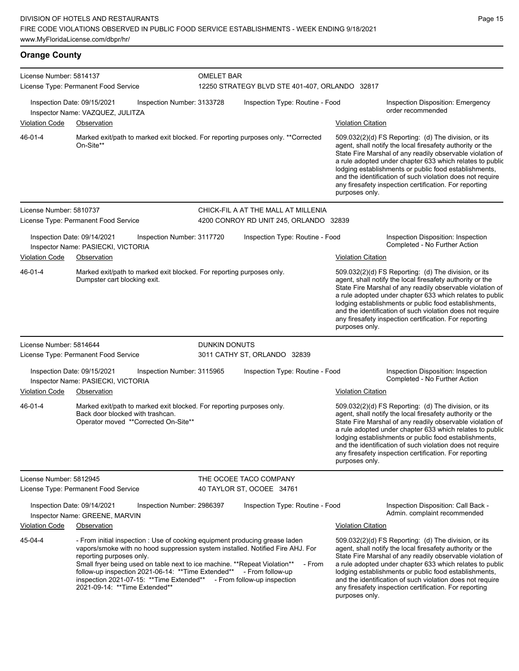| <b>Orange County</b>    |                                                                                                                                                                                                                                                                                                                                                                                                                                                            |               |                                                                     |                           |                                                                                                                                                                                                                                                                                                                                                                                                                            |
|-------------------------|------------------------------------------------------------------------------------------------------------------------------------------------------------------------------------------------------------------------------------------------------------------------------------------------------------------------------------------------------------------------------------------------------------------------------------------------------------|---------------|---------------------------------------------------------------------|---------------------------|----------------------------------------------------------------------------------------------------------------------------------------------------------------------------------------------------------------------------------------------------------------------------------------------------------------------------------------------------------------------------------------------------------------------------|
| License Number: 5814137 | License Type: Permanent Food Service                                                                                                                                                                                                                                                                                                                                                                                                                       |               | <b>OMELET BAR</b><br>12250 STRATEGY BLVD STE 401-407, ORLANDO 32817 |                           |                                                                                                                                                                                                                                                                                                                                                                                                                            |
| <b>Violation Code</b>   | Inspection Date: 09/15/2021<br>Inspection Number: 3133728<br>Inspector Name: VAZQUEZ, JULITZA<br>Observation                                                                                                                                                                                                                                                                                                                                               |               | Inspection Type: Routine - Food                                     | <b>Violation Citation</b> | Inspection Disposition: Emergency<br>order recommended                                                                                                                                                                                                                                                                                                                                                                     |
| 46-01-4                 | Marked exit/path to marked exit blocked. For reporting purposes only. ** Corrected<br>On-Site**                                                                                                                                                                                                                                                                                                                                                            |               |                                                                     | purposes only.            | 509.032(2)(d) FS Reporting: (d) The division, or its<br>agent, shall notify the local firesafety authority or the<br>State Fire Marshal of any readily observable violation of<br>a rule adopted under chapter 633 which relates to public<br>lodging establishments or public food establishments,<br>and the identification of such violation does not require<br>any firesafety inspection certification. For reporting |
| License Number: 5810737 |                                                                                                                                                                                                                                                                                                                                                                                                                                                            |               | CHICK-FIL A AT THE MALL AT MILLENIA                                 |                           |                                                                                                                                                                                                                                                                                                                                                                                                                            |
|                         | License Type: Permanent Food Service                                                                                                                                                                                                                                                                                                                                                                                                                       |               | 4200 CONROY RD UNIT 245, ORLANDO 32839                              |                           |                                                                                                                                                                                                                                                                                                                                                                                                                            |
| <b>Violation Code</b>   | Inspection Date: 09/14/2021<br>Inspection Number: 3117720<br>Inspector Name: PASIECKI, VICTORIA<br>Observation                                                                                                                                                                                                                                                                                                                                             |               | Inspection Type: Routine - Food                                     | <b>Violation Citation</b> | Inspection Disposition: Inspection<br>Completed - No Further Action                                                                                                                                                                                                                                                                                                                                                        |
| 46-01-4                 | Marked exit/path to marked exit blocked. For reporting purposes only.<br>Dumpster cart blocking exit.                                                                                                                                                                                                                                                                                                                                                      |               |                                                                     | purposes only.            | 509.032(2)(d) FS Reporting: (d) The division, or its<br>agent, shall notify the local firesafety authority or the<br>State Fire Marshal of any readily observable violation of<br>a rule adopted under chapter 633 which relates to public<br>lodging establishments or public food establishments,<br>and the identification of such violation does not require<br>any firesafety inspection certification. For reporting |
| License Number: 5814644 |                                                                                                                                                                                                                                                                                                                                                                                                                                                            | DUNKIN DONUTS |                                                                     |                           |                                                                                                                                                                                                                                                                                                                                                                                                                            |
|                         | License Type: Permanent Food Service                                                                                                                                                                                                                                                                                                                                                                                                                       |               | 3011 CATHY ST, ORLANDO 32839                                        |                           |                                                                                                                                                                                                                                                                                                                                                                                                                            |
|                         | Inspection Date: 09/15/2021<br>Inspection Number: 3115965<br>Inspector Name: PASIECKI, VICTORIA                                                                                                                                                                                                                                                                                                                                                            |               | Inspection Type: Routine - Food                                     |                           | Inspection Disposition: Inspection<br>Completed - No Further Action                                                                                                                                                                                                                                                                                                                                                        |
| <b>Violation Code</b>   | Observation                                                                                                                                                                                                                                                                                                                                                                                                                                                |               |                                                                     | <b>Violation Citation</b> |                                                                                                                                                                                                                                                                                                                                                                                                                            |
| 46-01-4                 | Marked exit/path to marked exit blocked. For reporting purposes only.<br>Back door blocked with trashcan.<br>Operator moved ** Corrected On-Site**                                                                                                                                                                                                                                                                                                         |               |                                                                     | purposes only.            | 509.032(2)(d) FS Reporting: (d) The division, or its<br>agent, shall notify the local firesafety authority or the<br>State Fire Marshal of any readily observable violation of<br>a rule adopted under chapter 633 which relates to public<br>lodging establishments or public food establishments,<br>and the identification of such violation does not require<br>any firesafety inspection certification. For reporting |
| License Number: 5812945 | License Type: Permanent Food Service                                                                                                                                                                                                                                                                                                                                                                                                                       |               | THE OCOEE TACO COMPANY<br>40 TAYLOR ST, OCOEE 34761                 |                           |                                                                                                                                                                                                                                                                                                                                                                                                                            |
|                         | Inspection Date: 09/14/2021<br>Inspection Number: 2986397<br>Inspector Name: GREENE, MARVIN                                                                                                                                                                                                                                                                                                                                                                |               | Inspection Type: Routine - Food                                     |                           | Inspection Disposition: Call Back -<br>Admin. complaint recommended                                                                                                                                                                                                                                                                                                                                                        |
| <b>Violation Code</b>   | Observation                                                                                                                                                                                                                                                                                                                                                                                                                                                |               |                                                                     | <b>Violation Citation</b> |                                                                                                                                                                                                                                                                                                                                                                                                                            |
| 45-04-4                 | - From initial inspection : Use of cooking equipment producing grease laden<br>vapors/smoke with no hood suppression system installed. Notified Fire AHJ. For<br>reporting purposes only.<br>Small fryer being used on table next to ice machine. ** Repeat Violation**<br>follow-up inspection 2021-06-14: ** Time Extended** - From follow-up<br>inspection 2021-07-15: ** Time Extended** - From follow-up inspection<br>2021-09-14: ** Time Extended** |               | - From                                                              | purposes only.            | 509.032(2)(d) FS Reporting: (d) The division, or its<br>agent, shall notify the local firesafety authority or the<br>State Fire Marshal of any readily observable violation of<br>a rule adopted under chapter 633 which relates to public<br>lodging establishments or public food establishments,<br>and the identification of such violation does not require<br>any firesafety inspection certification. For reporting |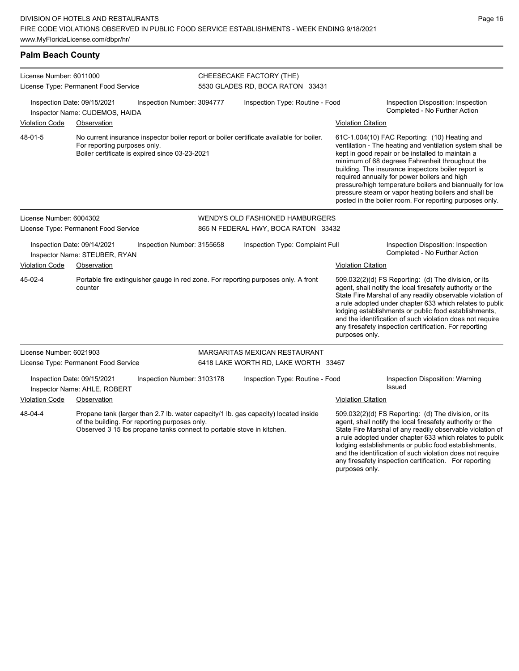| License Number: 6011000<br>License Type: Permanent Food Service<br>Inspection Date: 09/15/2021<br>Inspection Number: 3094777<br>Inspector Name: CUDEMOS, HAIDA                                                           |                                                              |                                                | CHEESECAKE FACTORY (THE)<br>5530 GLADES RD, BOCA RATON 33431                       |                                                                                                                                                                                                                                                                                                                                                                  |                                                                                                                                                                                                                                                                                                                                                                                                                                              |                                                                                                                                                                                                                                                                                                                                                                                                                                                                                                          |  |
|--------------------------------------------------------------------------------------------------------------------------------------------------------------------------------------------------------------------------|--------------------------------------------------------------|------------------------------------------------|------------------------------------------------------------------------------------|------------------------------------------------------------------------------------------------------------------------------------------------------------------------------------------------------------------------------------------------------------------------------------------------------------------------------------------------------------------|----------------------------------------------------------------------------------------------------------------------------------------------------------------------------------------------------------------------------------------------------------------------------------------------------------------------------------------------------------------------------------------------------------------------------------------------|----------------------------------------------------------------------------------------------------------------------------------------------------------------------------------------------------------------------------------------------------------------------------------------------------------------------------------------------------------------------------------------------------------------------------------------------------------------------------------------------------------|--|
|                                                                                                                                                                                                                          |                                                              |                                                |                                                                                    | Inspection Type: Routine - Food                                                                                                                                                                                                                                                                                                                                  | Inspection Disposition: Inspection<br>Completed - No Further Action                                                                                                                                                                                                                                                                                                                                                                          |                                                                                                                                                                                                                                                                                                                                                                                                                                                                                                          |  |
| <b>Violation Code</b>                                                                                                                                                                                                    | Observation                                                  |                                                |                                                                                    |                                                                                                                                                                                                                                                                                                                                                                  | <b>Violation Citation</b>                                                                                                                                                                                                                                                                                                                                                                                                                    |                                                                                                                                                                                                                                                                                                                                                                                                                                                                                                          |  |
| 48-01-5                                                                                                                                                                                                                  | For reporting purposes only.                                 | Boiler certificate is expired since 03-23-2021 |                                                                                    | No current insurance inspector boiler report or boiler certificate available for boiler.                                                                                                                                                                                                                                                                         |                                                                                                                                                                                                                                                                                                                                                                                                                                              | 61C-1.004(10) FAC Reporting: (10) Heating and<br>ventilation - The heating and ventilation system shall be<br>kept in good repair or be installed to maintain a<br>minimum of 68 degrees Fahrenheit throughout the<br>building. The insurance inspectors boiler report is<br>required annually for power boilers and high<br>pressure/high temperature boilers and biannually for low<br>pressure steam or vapor heating boilers and shall be<br>posted in the boiler room. For reporting purposes only. |  |
| License Number: 6004302                                                                                                                                                                                                  |                                                              |                                                | WENDYS OLD FASHIONED HAMBURGERS                                                    |                                                                                                                                                                                                                                                                                                                                                                  |                                                                                                                                                                                                                                                                                                                                                                                                                                              |                                                                                                                                                                                                                                                                                                                                                                                                                                                                                                          |  |
| License Type: Permanent Food Service                                                                                                                                                                                     |                                                              |                                                | 865 N FEDERAL HWY, BOCA RATON 33432                                                |                                                                                                                                                                                                                                                                                                                                                                  |                                                                                                                                                                                                                                                                                                                                                                                                                                              |                                                                                                                                                                                                                                                                                                                                                                                                                                                                                                          |  |
|                                                                                                                                                                                                                          | Inspection Date: 09/14/2021<br>Inspector Name: STEUBER, RYAN | Inspection Number: 3155658                     |                                                                                    | Inspection Type: Complaint Full                                                                                                                                                                                                                                                                                                                                  |                                                                                                                                                                                                                                                                                                                                                                                                                                              | Inspection Disposition: Inspection<br>Completed - No Further Action                                                                                                                                                                                                                                                                                                                                                                                                                                      |  |
| <b>Violation Code</b><br>Observation                                                                                                                                                                                     |                                                              |                                                |                                                                                    |                                                                                                                                                                                                                                                                                                                                                                  | <b>Violation Citation</b>                                                                                                                                                                                                                                                                                                                                                                                                                    |                                                                                                                                                                                                                                                                                                                                                                                                                                                                                                          |  |
| 45-02-4                                                                                                                                                                                                                  | counter                                                      |                                                | Portable fire extinguisher gauge in red zone. For reporting purposes only. A front |                                                                                                                                                                                                                                                                                                                                                                  | 509.032(2)(d) FS Reporting: (d) The division, or its<br>agent, shall notify the local firesafety authority or the<br>State Fire Marshal of any readily observable violation of<br>a rule adopted under chapter 633 which relates to public<br>lodging establishments or public food establishments,<br>and the identification of such violation does not require<br>any firesafety inspection certification. For reporting<br>purposes only. |                                                                                                                                                                                                                                                                                                                                                                                                                                                                                                          |  |
| License Number: 6021903                                                                                                                                                                                                  |                                                              |                                                |                                                                                    | MARGARITAS MEXICAN RESTAURANT                                                                                                                                                                                                                                                                                                                                    |                                                                                                                                                                                                                                                                                                                                                                                                                                              |                                                                                                                                                                                                                                                                                                                                                                                                                                                                                                          |  |
| License Type: Permanent Food Service                                                                                                                                                                                     |                                                              |                                                |                                                                                    | 6418 LAKE WORTH RD, LAKE WORTH 33467                                                                                                                                                                                                                                                                                                                             |                                                                                                                                                                                                                                                                                                                                                                                                                                              |                                                                                                                                                                                                                                                                                                                                                                                                                                                                                                          |  |
|                                                                                                                                                                                                                          | Inspection Date: 09/15/2021<br>Inspector Name: AHLE, ROBERT  | Inspection Number: 3103178                     |                                                                                    | Inspection Type: Routine - Food                                                                                                                                                                                                                                                                                                                                  |                                                                                                                                                                                                                                                                                                                                                                                                                                              | Inspection Disposition: Warning<br>Issued                                                                                                                                                                                                                                                                                                                                                                                                                                                                |  |
| <b>Violation Code</b>                                                                                                                                                                                                    | Observation                                                  |                                                |                                                                                    |                                                                                                                                                                                                                                                                                                                                                                  | <b>Violation Citation</b>                                                                                                                                                                                                                                                                                                                                                                                                                    |                                                                                                                                                                                                                                                                                                                                                                                                                                                                                                          |  |
| 48-04-4<br>Propane tank (larger than 2.7 lb. water capacity/1 lb. gas capacity) located inside<br>of the building. For reporting purposes only.<br>Observed 3 15 lbs propane tanks connect to portable stove in kitchen. |                                                              |                                                |                                                                                    | 509.032(2)(d) FS Reporting: (d) The division, or its<br>agent, shall notify the local firesafety authority or the<br>State Fire Marshal of any readily observable violation of<br>a rule adopted under chapter 633 which relates to public<br>lodging establishments or public food establishments,<br>and the identification of such violation does not require |                                                                                                                                                                                                                                                                                                                                                                                                                                              |                                                                                                                                                                                                                                                                                                                                                                                                                                                                                                          |  |

any firesafety inspection certification. For reporting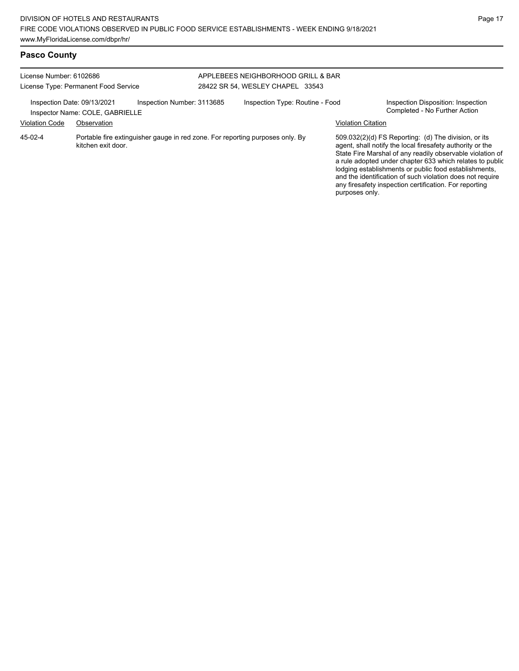| License Number: 6102686                              | License Type: Permanent Food Service                                         | APPLEBEES NEIGHBORHOOD GRILL & BAR<br>28422 SR 54. WESLEY CHAPEL 33543        |                                 |                                                                                                                                                                                                                                                                                                                                                                                                                                              |                                                                     |  |
|------------------------------------------------------|------------------------------------------------------------------------------|-------------------------------------------------------------------------------|---------------------------------|----------------------------------------------------------------------------------------------------------------------------------------------------------------------------------------------------------------------------------------------------------------------------------------------------------------------------------------------------------------------------------------------------------------------------------------------|---------------------------------------------------------------------|--|
| Inspection Date: 09/13/2021<br><b>Violation Code</b> | Inspection Number: 3113685<br>Inspector Name: COLE, GABRIELLE<br>Observation |                                                                               | Inspection Type: Routine - Food | <b>Violation Citation</b>                                                                                                                                                                                                                                                                                                                                                                                                                    | Inspection Disposition: Inspection<br>Completed - No Further Action |  |
| $45-02-4$                                            | kitchen exit door.                                                           | Portable fire extinguisher gauge in red zone. For reporting purposes only. By |                                 | 509.032(2)(d) FS Reporting: (d) The division, or its<br>agent, shall notify the local firesafety authority or the<br>State Fire Marshal of any readily observable violation of<br>a rule adopted under chapter 633 which relates to public<br>lodging establishments or public food establishments,<br>and the identification of such violation does not require<br>any firesafety inspection certification. For reporting<br>purposes only. |                                                                     |  |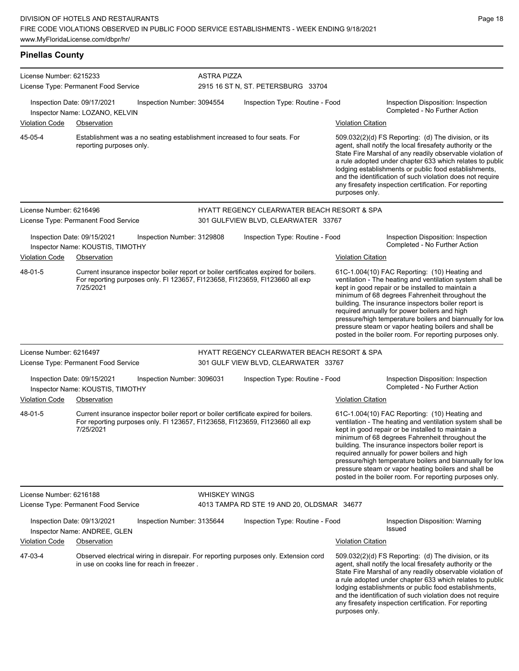**Pinellas County** License Number: 6215233 License Type: Permanent Food Service ASTRA PIZZA 2915 16 ST N, ST. PETERSBURG 33704 Inspection Date: 09/17/2021 Inspection Number: 3094554 Inspection Type: Routine - Food Inspection Disposition: Inspection Inspector Name: LOZANO, KELVIN Violation Code Observation Violation Citation Establishment was a no seating establishment increased to four seats. For reporting purposes only. 509.032(2)(d) FS Reporting: (d) The division, or its agent, shall notify the local firesafety authority or the State Fire Marshal of any readily observable violation of a rule adopted under chapter 633 which relates to public lodging establishments or public food establishments, and the identification of such violation does not require any firesafety inspection certification. For reporting purposes only. 45-05-4 License Number: 6216496 License Type: Permanent Food Service HYATT REGENCY CLEARWATER BEACH RESORT & SPA 301 GULFVIEW BLVD, CLEARWATER 33767 Inspection Date: 09/15/2021 Inspection Number: 3129808 Inspection Type: Routine - Food Inspection Disposition: Inspection Inspector Name: KOUSTIS, TIMOTHY **Name: Action** Inspector Name: KOUSTIS, TIMOTHY Violation Code Observation Violation Citation Current insurance inspector boiler report or boiler certificates expired for boilers. For reporting purposes only. Fl 123657, Fl123658, Fl123659, Fl123660 all exp 7/25/2021 61C-1.004(10) FAC Reporting: (10) Heating and ventilation - The heating and ventilation system shall be kept in good repair or be installed to maintain a minimum of 68 degrees Fahrenheit throughout the building. The insurance inspectors boiler report is required annually for power boilers and high pressure/high temperature boilers and biannually for low pressure steam or vapor heating boilers and shall be posted in the boiler room. For reporting purposes only. 48-01-5 License Number: 6216497 License Type: Permanent Food Service HYATT REGENCY CLEARWATER BEACH RESORT & SPA 301 GULF VIEW BLVD, CLEARWATER 33767 Inspection Date: 09/15/2021 Inspection Number: 3096031 Inspection Type: Routine - Food Inspection Disposition: Inspection<br>Inspector Name: KOUSTIS TIMOTHY Inspector Name: KOUSTIS, TIMOTHY Violation Code Observation Violation Citation Current insurance inspector boiler report or boiler certificate expired for boilers. For reporting purposes only. Fl 123657, Fl123658, Fl123659, Fl123660 all exp 7/25/2021 61C-1.004(10) FAC Reporting: (10) Heating and ventilation - The heating and ventilation system shall be kept in good repair or be installed to maintain a minimum of 68 degrees Fahrenheit throughout the building. The insurance inspectors boiler report is required annually for power boilers and high pressure/high temperature boilers and biannually for low pressure steam or vapor heating boilers and shall be posted in the boiler room. For reporting purposes only. 48-01-5 License Number: 6216188 License Type: Permanent Food Service WHISKEY WINGS 4013 TAMPA RD STE 19 AND 20, OLDSMAR 34677 Inspection Date: 09/13/2021 Inspection Number: 3135644 Inspection Type: Routine - Food Inspection Disposition: Warning Inspector Name: ANDREE, GLEN Violation Code Observation Violation Citation Observed electrical wiring in disrepair. For reporting purposes only. Extension cord in use on cooks line for reach in freezer . 509.032(2)(d) FS Reporting: (d) The division, or its agent, shall notify the local firesafety authority or the State Fire Marshal of any readily observable violation of a rule adopted under chapter 633 which relates to public lodging establishments or public food establishments, and the identification of such violation does not require any firesafety inspection certification. For reporting purposes only. 47-03-4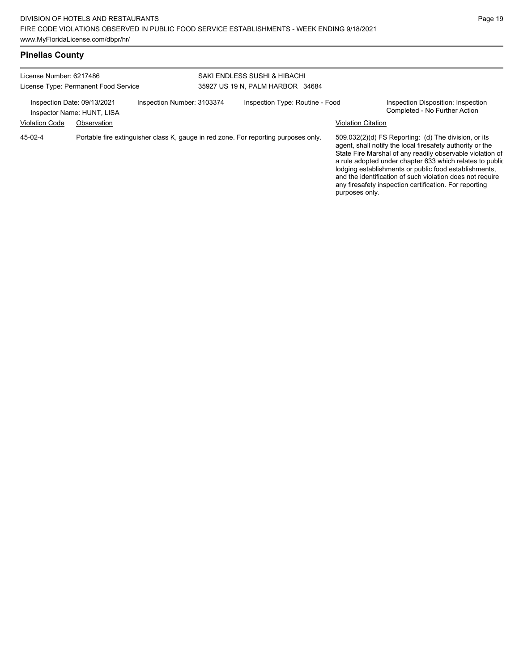| License Number: 6217486<br>License Type: Permanent Food Service                         |             |  | SAKI ENDLESS SUSHI & HIBACHI<br>35927 US 19 N. PALM HARBOR 34684                    |  |                                                                                                                                                                                                                                                                                                                                                                                                                                              |  |  |
|-----------------------------------------------------------------------------------------|-------------|--|-------------------------------------------------------------------------------------|--|----------------------------------------------------------------------------------------------------------------------------------------------------------------------------------------------------------------------------------------------------------------------------------------------------------------------------------------------------------------------------------------------------------------------------------------------|--|--|
| Inspection Number: 3103374<br>Inspection Date: 09/13/2021<br>Inspector Name: HUNT, LISA |             |  | Inspection Type: Routine - Food                                                     |  | Inspection Disposition: Inspection<br>Completed - No Further Action                                                                                                                                                                                                                                                                                                                                                                          |  |  |
| <b>Violation Code</b>                                                                   | Observation |  |                                                                                     |  | <b>Violation Citation</b>                                                                                                                                                                                                                                                                                                                                                                                                                    |  |  |
| 45-02-4                                                                                 |             |  | Portable fire extinguisher class K, gauge in red zone. For reporting purposes only. |  | 509.032(2)(d) FS Reporting: (d) The division, or its<br>agent, shall notify the local firesafety authority or the<br>State Fire Marshal of any readily observable violation of<br>a rule adopted under chapter 633 which relates to public<br>lodging establishments or public food establishments,<br>and the identification of such violation does not require<br>any firesafety inspection certification. For reporting<br>purposes only. |  |  |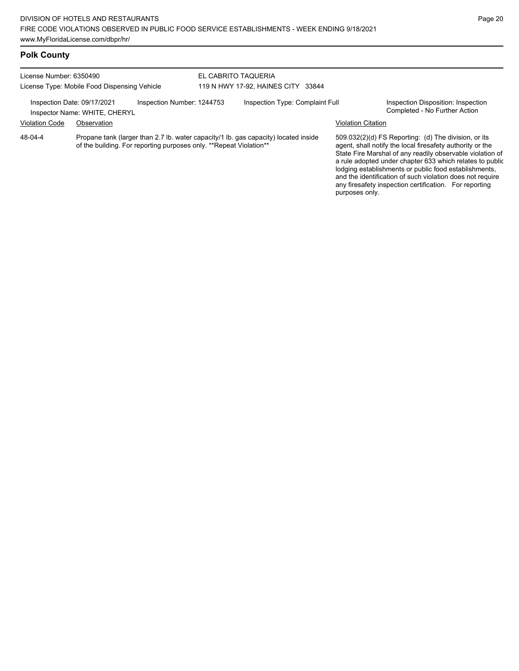### **Polk County**

#### License Number: 6350490 License Type: Mobile Food Dispensing Vehicle EL CABRITO TAQUERIA 119 N HWY 17-92, HAINES CITY 33844 Inspection Date: 09/17/2021 Inspection Number: 1244753 Inspection Type: Complaint Full Inspection Disposition: Inspection<br>Inspector Name: WHITE CHERYI Inspector Name: WHITE, CHERYL Violation Code Observation Violation Citation Propane tank (larger than 2.7 lb. water capacity/1 lb. gas capacity) located inside of the building. For reporting purposes only. \*\*Repeat Violation\*\* 48-04-4

509.032(2)(d) FS Reporting: (d) The division, or its agent, shall notify the local firesafety authority or the State Fire Marshal of any readily observable violation of a rule adopted under chapter 633 which relates to public lodging establishments or public food establishments, and the identification of such violation does not require any firesafety inspection certification. For reporting purposes only.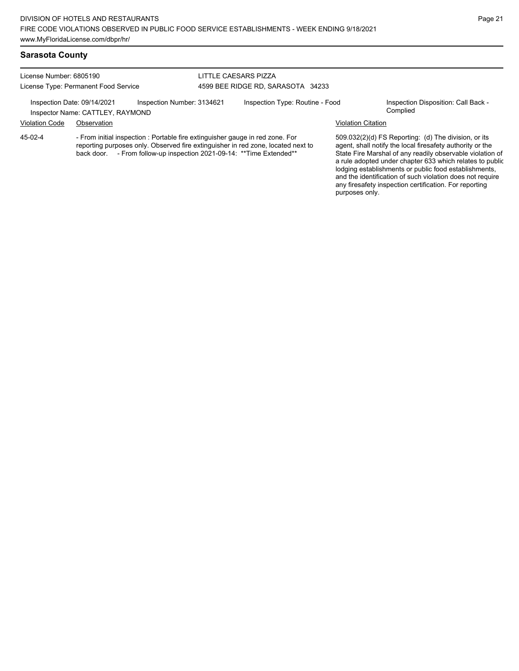### **Sarasota County**

License Number: 6805190 License Type: Permanent Food Service

### LITTLE CAESARS PIZZA 4599 BEE RIDGE RD, SARASOTA 34233

Inspection Date: 09/14/2021 Inspection Number: 3134621 Inspection Type: Routine - Food Inspection Disposition: Call Back -<br>Inspector Name: CATTLEY RAYMOND

Inspector Name: CATTLEY, RAYMOND Violation Code Observation Violation Citation

- From initial inspection : Portable fire extinguisher gauge in red zone. For reporting purposes only. Observed fire extinguisher in red zone, located next to back door. - From follow-up inspection 2021-09-14: \*\* Time Extended\*\* 45-02-4

509.032(2)(d) FS Reporting: (d) The division, or its agent, shall notify the local firesafety authority or the State Fire Marshal of any readily observable violation of a rule adopted under chapter 633 which relates to public lodging establishments or public food establishments, and the identification of such violation does not require any firesafety inspection certification. For reporting purposes only.